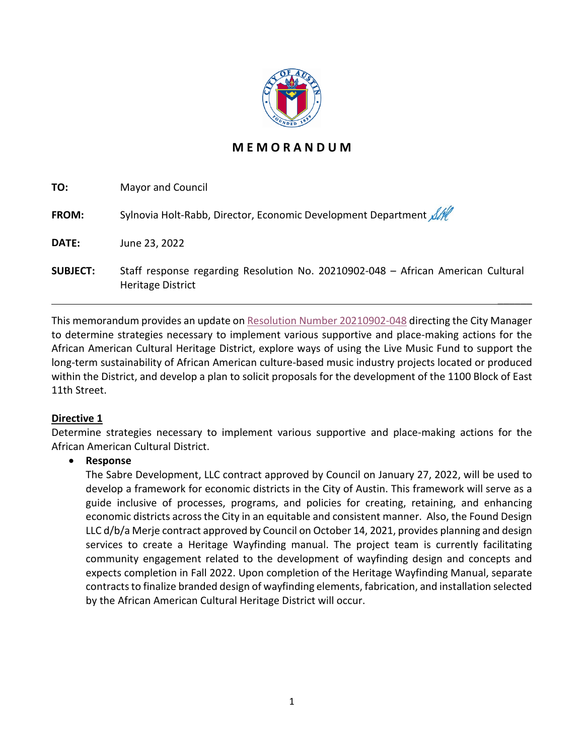

# **M E M O R A N D U M**

| TO:             | <b>Mayor and Council</b>                                                                                     |
|-----------------|--------------------------------------------------------------------------------------------------------------|
| <b>FROM:</b>    | Sylnovia Holt-Rabb, Director, Economic Development Department All                                            |
| DATE:           | June 23, 2022                                                                                                |
| <b>SUBJECT:</b> | Staff response regarding Resolution No. 20210902-048 - African American Cultural<br><b>Heritage District</b> |

This memorandum provides an update on [Resolution Number 20210902-048](https://www.austintexas.gov/edims/document.cfm?id=367346) directing the City Manager to determine strategies necessary to implement various supportive and place-making actions for the African American Cultural Heritage District, explore ways of using the Live Music Fund to support the long-term sustainability of African American culture-based music industry projects located or produced within the District, and develop a plan to solicit proposals for the development of the 1100 Block of East 11th Street.

 $\frac{1}{2}$ 

### **Directive 1**

Determine strategies necessary to implement various supportive and place-making actions for the African American Cultural District.

## • **Response**

The Sabre Development, LLC contract approved by Council on January 27, 2022, will be used to develop a framework for economic districts in the City of Austin. This framework will serve as a guide inclusive of processes, programs, and policies for creating, retaining, and enhancing economic districts across the City in an equitable and consistent manner. Also, the Found Design LLC d/b/a Merje contract approved by Council on October 14, 2021, provides planning and design services to create a Heritage Wayfinding manual. The project team is currently facilitating community engagement related to the development of wayfinding design and concepts and expects completion in Fall 2022. Upon completion of the Heritage Wayfinding Manual, separate contracts to finalize branded design of wayfinding elements, fabrication, and installation selected by the African American Cultural Heritage District will occur.